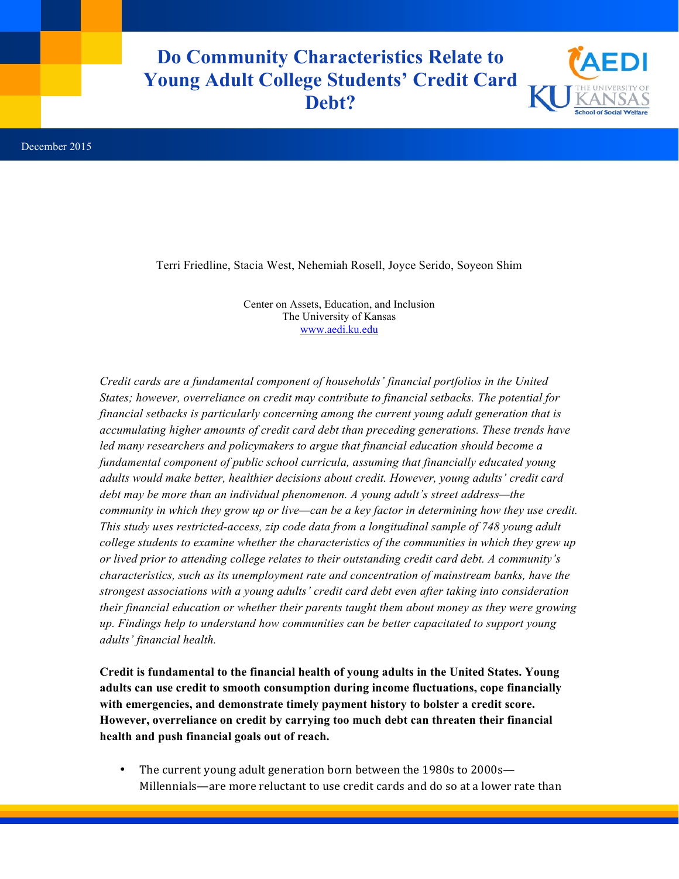## **Do Community Characteristics Relate to Young Adult College Students' Credit Card Debt?**



Terri Friedline, Stacia West, Nehemiah Rosell, Joyce Serido, Soyeon Shim

Center on Assets, Education, and Inclusion The University of Kansas www.aedi.ku.edu

*Credit cards are a fundamental component of households' financial portfolios in the United States; however, overreliance on credit may contribute to financial setbacks. The potential for financial setbacks is particularly concerning among the current young adult generation that is accumulating higher amounts of credit card debt than preceding generations. These trends have led many researchers and policymakers to argue that financial education should become a fundamental component of public school curricula, assuming that financially educated young adults would make better, healthier decisions about credit. However, young adults' credit card debt may be more than an individual phenomenon. A young adult's street address—the community in which they grow up or live—can be a key factor in determining how they use credit. This study uses restricted-access, zip code data from a longitudinal sample of 748 young adult college students to examine whether the characteristics of the communities in which they grew up or lived prior to attending college relates to their outstanding credit card debt. A community's characteristics, such as its unemployment rate and concentration of mainstream banks, have the strongest associations with a young adults' credit card debt even after taking into consideration their financial education or whether their parents taught them about money as they were growing up. Findings help to understand how communities can be better capacitated to support young adults' financial health.*

**Credit is fundamental to the financial health of young adults in the United States. Young adults can use credit to smooth consumption during income fluctuations, cope financially with emergencies, and demonstrate timely payment history to bolster a credit score. However, overreliance on credit by carrying too much debt can threaten their financial health and push financial goals out of reach.**

• The current young adult generation born between the 1980s to 2000s— Millennials—are more reluctant to use credit cards and do so at a lower rate than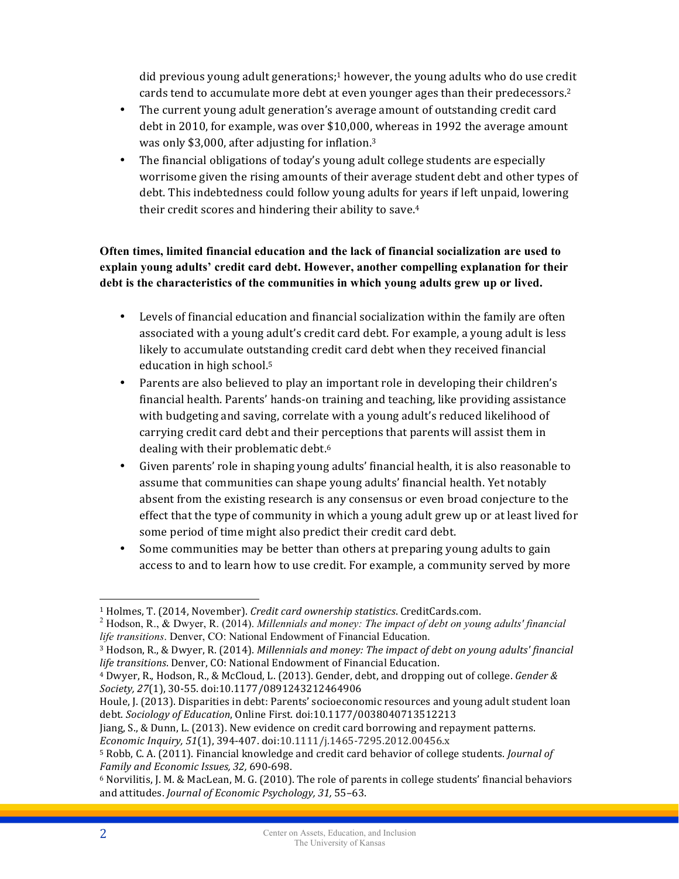did previous young adult generations;<sup>1</sup> however, the young adults who do use credit cards tend to accumulate more debt at even younger ages than their predecessors.<sup>2</sup>

- The current young adult generation's average amount of outstanding credit card debt in 2010, for example, was over \$10,000, whereas in 1992 the average amount was only \$3,000, after adjusting for inflation.<sup>3</sup>
- The financial obligations of today's young adult college students are especially worrisome given the rising amounts of their average student debt and other types of debt. This indebtedness could follow young adults for years if left unpaid, lowering their credit scores and hindering their ability to save. $4$

## **Often times, limited financial education and the lack of financial socialization are used to explain young adults' credit card debt. However, another compelling explanation for their debt is the characteristics of the communities in which young adults grew up or lived.**

- Levels of financial education and financial socialization within the family are often associated with a young adult's credit card debt. For example, a young adult is less likely to accumulate outstanding credit card debt when they received financial education in high school.<sup>5</sup>
- Parents are also believed to play an important role in developing their children's financial health. Parents' hands-on training and teaching, like providing assistance with budgeting and saving, correlate with a young adult's reduced likelihood of carrying credit card debt and their perceptions that parents will assist them in dealing with their problematic debt.<sup>6</sup>
- Given parents' role in shaping young adults' financial health, it is also reasonable to assume that communities can shape young adults' financial health. Yet notably absent from the existing research is any consensus or even broad conjecture to the effect that the type of community in which a young adult grew up or at least lived for some period of time might also predict their credit card debt.
- Some communities may be better than others at preparing young adults to gain access to and to learn how to use credit. For example, a community served by more

Jiang, S., & Dunn, L. (2013). New evidence on credit card borrowing and repayment patterns.

 $\overline{a}$ 

<sup>&</sup>lt;sup>1</sup> Holmes, T. (2014, November). *Credit card ownership statistics*. CreditCards.com.<br><sup>2</sup> Hodson, R., & Dwyer, R. (2014). *Millennials and money: The impact of debt on young adults' financial life transitions*. Denver, CO: National Endowment of Financial Education.

<sup>&</sup>lt;sup>3</sup> Hodson, R., & Dwyer, R. (2014). *Millennials and money: The impact of debt on young adults' financial life transitions*. Denver, CO: National Endowment of Financial Education.

<sup>&</sup>lt;sup>4</sup> Dwyer, R., Hodson, R., & McCloud, L. (2013). Gender, debt, and dropping out of college. *Gender & Society, 27*(1), 30-55. doi:10.1177/0891243212464906

Houle, J. (2013). Disparities in debt: Parents' socioeconomic resources and young adult student loan debt. *Sociology of Education*, Online First. doi:10.1177/0038040713512213

*Economic Inquiry, 51*(1), 394-407. doi:10.1111/j.1465-7295.2012.00456.x

<sup>&</sup>lt;sup>5</sup> Robb, C. A. (2011). Financial knowledge and credit card behavior of college students. *Journal of Family and Economic Issues, 32,* 690-698.

 $6$  Norvilitis, J. M. & MacLean, M. G. (2010). The role of parents in college students' financial behaviors and attitudes. *Journal of Economic Psychology*, 31, 55-63.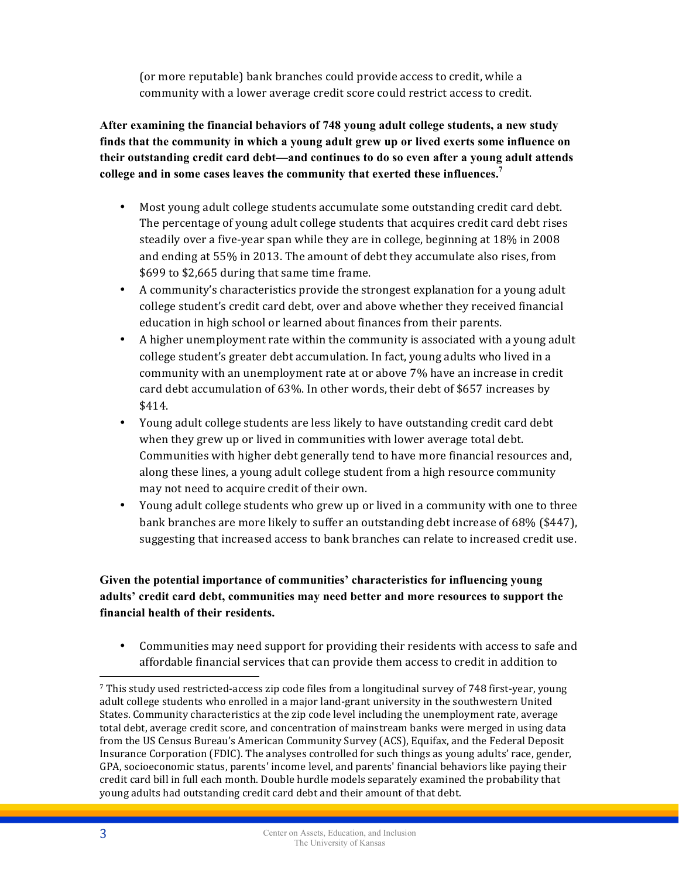(or more reputable) bank branches could provide access to credit, while a community with a lower average credit score could restrict access to credit.

**After examining the financial behaviors of 748 young adult college students, a new study finds that the community in which a young adult grew up or lived exerts some influence on their outstanding credit card debt—and continues to do so even after a young adult attends college and in some cases leaves the community that exerted these influences. 7**

- Most young adult college students accumulate some outstanding credit card debt. The percentage of young adult college students that acquires credit card debt rises steadily over a five-year span while they are in college, beginning at 18% in 2008 and ending at 55% in 2013. The amount of debt they accumulate also rises, from \$699 to \$2,665 during that same time frame.
- A community's characteristics provide the strongest explanation for a young adult college student's credit card debt, over and above whether they received financial education in high school or learned about finances from their parents.
- A higher unemployment rate within the community is associated with a young adult college student's greater debt accumulation. In fact, young adults who lived in a community with an unemployment rate at or above 7% have an increase in credit card debt accumulation of 63%. In other words, their debt of \$657 increases by \$414.
- Young adult college students are less likely to have outstanding credit card debt when they grew up or lived in communities with lower average total debt. Communities with higher debt generally tend to have more financial resources and, along these lines, a young adult college student from a high resource community may not need to acquire credit of their own.
- Young adult college students who grew up or lived in a community with one to three bank branches are more likely to suffer an outstanding debt increase of 68% (\$447), suggesting that increased access to bank branches can relate to increased credit use.

## **Given the potential importance of communities' characteristics for influencing young adults' credit card debt, communities may need better and more resources to support the financial health of their residents.**

• Communities may need support for providing their residents with access to safe and affordable financial services that can provide them access to credit in addition to

 $\overline{a}$ 

<sup>7</sup> This study used restricted-access zip code files from a longitudinal survey of 748 first-year, young adult college students who enrolled in a major land-grant university in the southwestern United States. Community characteristics at the zip code level including the unemployment rate, average total debt, average credit score, and concentration of mainstream banks were merged in using data from the US Census Bureau's American Community Survey (ACS), Equifax, and the Federal Deposit Insurance Corporation (FDIC). The analyses controlled for such things as young adults' race, gender, GPA, socioeconomic status, parents' income level, and parents' financial behaviors like paying their credit card bill in full each month. Double hurdle models separately examined the probability that young adults had outstanding credit card debt and their amount of that debt.